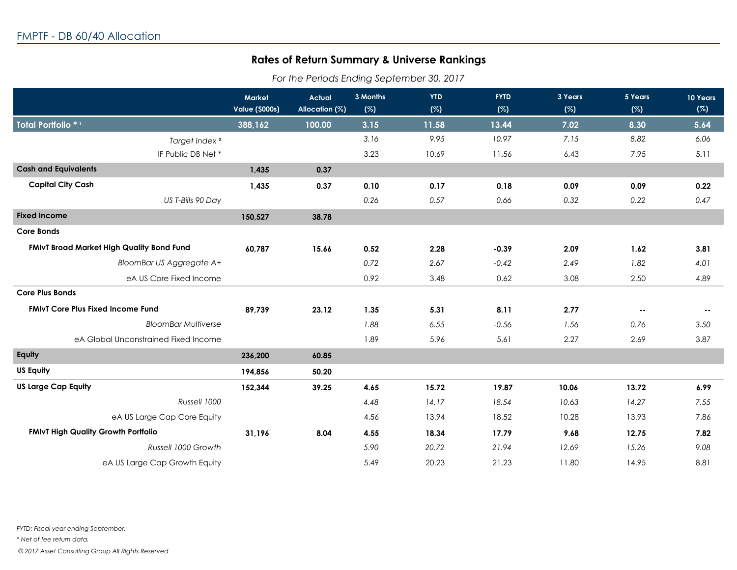## **Rates of Return Summary & Universe Rankings**

*For the Periods Ending September 30, 2017*

|                                            | <b>Market</b><br><b>Value (\$000s)</b> | <b>Actual</b><br>Allocation (%) | 3 Months<br>(%) | <b>YTD</b><br>(%) | <b>FYTD</b><br>(%) | 3 Years<br>(%) | 5 Years<br>(%) | 10 Years<br>(%) |
|--------------------------------------------|----------------------------------------|---------------------------------|-----------------|-------------------|--------------------|----------------|----------------|-----------------|
|                                            |                                        |                                 |                 |                   |                    |                |                |                 |
| Total Portfolio *1                         | 388,162                                | 100.00                          | 3.15            | 11.58             | 13.44              | 7.02           | 8.30           | 5.64            |
| Target Index <sup>2</sup>                  |                                        |                                 | 3.16            | 9.95              | 10.97              | 7.15           | 8.82           | 6.06            |
| IF Public DB Net*                          |                                        |                                 | 3.23            | 10.69             | 11.56              | 6.43           | 7.95           | 5.11            |
| <b>Cash and Equivalents</b>                | 1,435                                  | 0.37                            |                 |                   |                    |                |                |                 |
| <b>Capital City Cash</b>                   | 1,435                                  | 0.37                            | 0.10            | 0.17              | 0.18               | 0.09           | 0.09           | 0.22            |
| US T-Bills 90 Day                          |                                        |                                 | 0.26            | 0.57              | 0.66               | 0.32           | 0.22           | 0.47            |
| <b>Fixed Income</b>                        | 150,527                                | 38.78                           |                 |                   |                    |                |                |                 |
| <b>Core Bonds</b>                          |                                        |                                 |                 |                   |                    |                |                |                 |
| FMIvT Broad Market High Quality Bond Fund  | 60,787                                 | 15.66                           | 0.52            | 2.28              | $-0.39$            | 2.09           | 1.62           | 3.81            |
| BloomBar US Aggregate A+                   |                                        |                                 | 0.72            | 2.67              | $-0.42$            | 2.49           | 1.82           | 4.01            |
| eA US Core Fixed Income                    |                                        |                                 | 0.92            | 3.48              | 0.62               | 3.08           | 2.50           | 4.89            |
| <b>Core Plus Bonds</b>                     |                                        |                                 |                 |                   |                    |                |                |                 |
| <b>FMIVT Core Plus Fixed Income Fund</b>   | 89,739                                 | 23.12                           | 1.35            | 5.31              | 8.11               | 2.77           | $\sim$ $\sim$  | $\sim$          |
| <b>BloomBar Multiverse</b>                 |                                        |                                 | 1.88            | 6.55              | $-0.56$            | 1.56           | 0.76           | 3.50            |
| eA Global Unconstrained Fixed Income       |                                        |                                 | 1.89            | 5.96              | 5.61               | 2.27           | 2.69           | 3.87            |
| Equity                                     | 236,200                                | 60.85                           |                 |                   |                    |                |                |                 |
| <b>US Equity</b>                           | 194,856                                | 50.20                           |                 |                   |                    |                |                |                 |
| <b>US Large Cap Equity</b>                 | 152,344                                | 39.25                           | 4.65            | 15.72             | 19.87              | 10.06          | 13.72          | 6.99            |
| Russell 1000                               |                                        |                                 | 4.48            | 14.17             | 18.54              | 10.63          | 14.27          | 7.55            |
| eA US Large Cap Core Equity                |                                        |                                 | 4.56            | 13.94             | 18.52              | 10.28          | 13.93          | 7.86            |
| <b>FMIvT High Quality Growth Portfolio</b> | 31,196                                 | 8.04                            | 4.55            | 18.34             | 17.79              | 9.68           | 12.75          | 7.82            |
| Russell 1000 Growth                        |                                        |                                 | 5.90            | 20.72             | 21.94              | 12.69          | 15.26          | 9.08            |
| eA US Large Cap Growth Equity              |                                        |                                 | 5.49            | 20.23             | 21.23              | 11.80          | 14.95          | 8.81            |

 *© 2017 Asset Consulting Group All Rights Reserved*